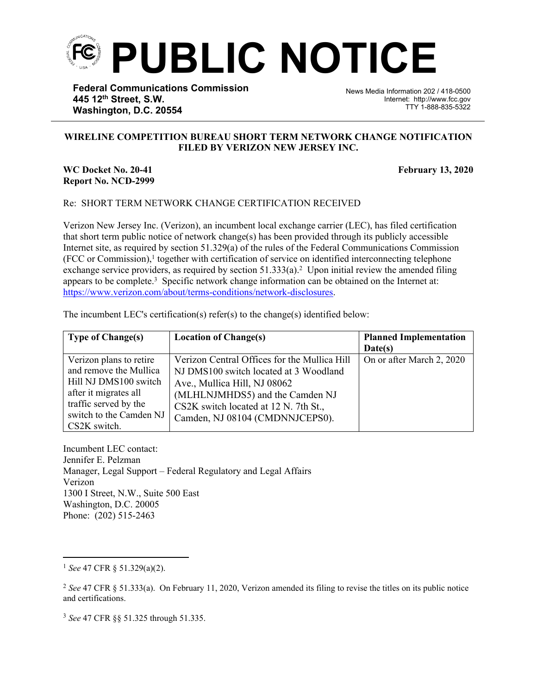

**Federal Communications Commission 445 12th Street, S.W. Washington, D.C. 20554**

News Media Information 202 / 418-0500 Internet: http://www.fcc.gov TTY 1-888-835-5322

## **WIRELINE COMPETITION BUREAU SHORT TERM NETWORK CHANGE NOTIFICATION FILED BY VERIZON NEW JERSEY INC.**

֡֡֡֡

## **WC Docket No. 20-41 February 13, 2020 Report No. NCD-2999**

## Re: SHORT TERM NETWORK CHANGE CERTIFICATION RECEIVED

Verizon New Jersey Inc. (Verizon), an incumbent local exchange carrier (LEC), has filed certification that short term public notice of network change(s) has been provided through its publicly accessible Internet site, as required by section 51.329(a) of the rules of the Federal Communications Commission (FCC or Commission),<sup>1</sup> together with certification of service on identified interconnecting telephone exchange service providers, as required by section  $51.333(a)$ .<sup>2</sup> Upon initial review the amended filing appears to be complete.<sup>3</sup> Specific network change information can be obtained on the Internet at: [https://www.verizon.com/about/terms-conditions/network-disclosures.](https://www.verizon.com/about/terms-conditions/network-disclosures)

| The incumbent LEC's certification(s) refer(s) to the change(s) identified below: |  |  |
|----------------------------------------------------------------------------------|--|--|
|                                                                                  |  |  |

| <b>Type of Change(s)</b> | <b>Location of Change(s)</b>                 | <b>Planned Implementation</b> |
|--------------------------|----------------------------------------------|-------------------------------|
|                          |                                              | Date(s)                       |
| Verizon plans to retire  | Verizon Central Offices for the Mullica Hill | On or after March 2, 2020     |
| and remove the Mullica   | NJ DMS100 switch located at 3 Woodland       |                               |
| Hill NJ DMS100 switch    | Ave., Mullica Hill, NJ 08062                 |                               |
| after it migrates all    | (MLHLNJMHDS5) and the Camden NJ              |                               |
| traffic served by the    | CS2K switch located at 12 N. 7th St.,        |                               |
| switch to the Camden NJ  | Camden, NJ 08104 (CMDNNJCEPS0).              |                               |
| CS2K switch.             |                                              |                               |

Incumbent LEC contact: Jennifer E. Pelzman Manager, Legal Support – Federal Regulatory and Legal Affairs Verizon 1300 I Street, N.W., Suite 500 East Washington, D.C. 20005 Phone: (202) 515-2463

<sup>1</sup> *See* 47 CFR § 51.329(a)(2).

<sup>2</sup> *See* 47 CFR § 51.333(a). On February 11, 2020, Verizon amended its filing to revise the titles on its public notice and certifications.

<sup>3</sup> *See* 47 CFR §§ 51.325 through 51.335.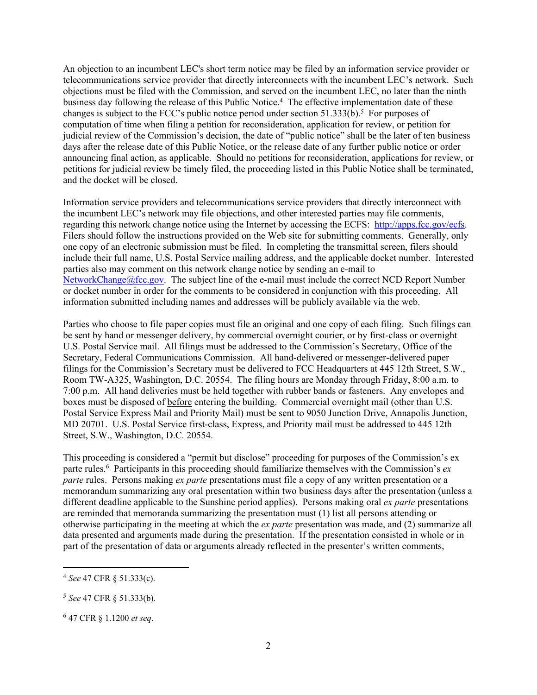An objection to an incumbent LEC's short term notice may be filed by an information service provider or telecommunications service provider that directly interconnects with the incumbent LEC's network. Such objections must be filed with the Commission, and served on the incumbent LEC, no later than the ninth business day following the release of this Public Notice.<sup>4</sup> The effective implementation date of these changes is subject to the FCC's public notice period under section  $51.333(b)$ .<sup>5</sup> For purposes of computation of time when filing a petition for reconsideration, application for review, or petition for judicial review of the Commission's decision, the date of "public notice" shall be the later of ten business days after the release date of this Public Notice, or the release date of any further public notice or order announcing final action, as applicable. Should no petitions for reconsideration, applications for review, or petitions for judicial review be timely filed, the proceeding listed in this Public Notice shall be terminated, and the docket will be closed.

Information service providers and telecommunications service providers that directly interconnect with the incumbent LEC's network may file objections, and other interested parties may file comments, regarding this network change notice using the Internet by accessing the ECFS: [http://apps.fcc.gov/ecfs.](http://apps.fcc.gov/ecfs) Filers should follow the instructions provided on the Web site for submitting comments. Generally, only one copy of an electronic submission must be filed. In completing the transmittal screen, filers should include their full name, U.S. Postal Service mailing address, and the applicable docket number. Interested parties also may comment on this network change notice by sending an e-mail to [NetworkChange@fcc.gov.](mailto:NetworkChange@fcc.gov) The subject line of the e-mail must include the correct NCD Report Number or docket number in order for the comments to be considered in conjunction with this proceeding. All information submitted including names and addresses will be publicly available via the web.

Parties who choose to file paper copies must file an original and one copy of each filing. Such filings can be sent by hand or messenger delivery, by commercial overnight courier, or by first-class or overnight U.S. Postal Service mail. All filings must be addressed to the Commission's Secretary, Office of the Secretary, Federal Communications Commission. All hand-delivered or messenger-delivered paper filings for the Commission's Secretary must be delivered to FCC Headquarters at 445 12th Street, S.W., Room TW-A325, Washington, D.C. 20554. The filing hours are Monday through Friday, 8:00 a.m. to 7:00 p.m. All hand deliveries must be held together with rubber bands or fasteners. Any envelopes and boxes must be disposed of before entering the building. Commercial overnight mail (other than U.S. Postal Service Express Mail and Priority Mail) must be sent to 9050 Junction Drive, Annapolis Junction, MD 20701. U.S. Postal Service first-class, Express, and Priority mail must be addressed to 445 12th Street, S.W., Washington, D.C. 20554.

This proceeding is considered a "permit but disclose" proceeding for purposes of the Commission's ex parte rules.<sup>6</sup> Participants in this proceeding should familiarize themselves with the Commission's *ex parte* rules. Persons making *ex parte* presentations must file a copy of any written presentation or a memorandum summarizing any oral presentation within two business days after the presentation (unless a different deadline applicable to the Sunshine period applies). Persons making oral *ex parte* presentations are reminded that memoranda summarizing the presentation must (1) list all persons attending or otherwise participating in the meeting at which the *ex parte* presentation was made, and (2) summarize all data presented and arguments made during the presentation. If the presentation consisted in whole or in part of the presentation of data or arguments already reflected in the presenter's written comments,

<sup>4</sup> *See* 47 CFR § 51.333(c).

<sup>5</sup> *See* 47 CFR § 51.333(b).

<sup>6</sup> 47 CFR § 1.1200 *et seq*.